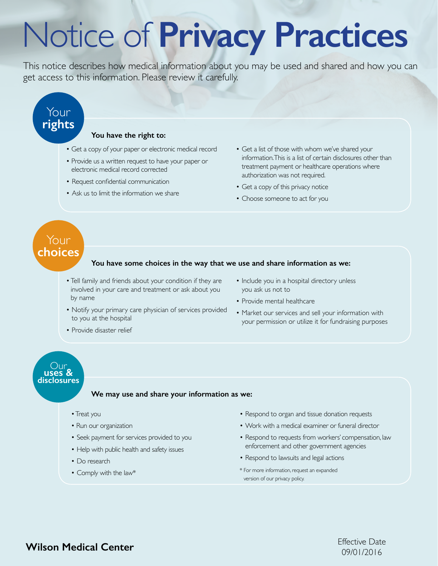# Notice of Privacy Practices

This notice describes how medical information about you may be used and shared and how you can get access to this information. Please review it carefully.

# Your rights

#### You have the right to:

- · Get a copy of your paper or electronic medical record
- Provide us a written request to have your paper or electronic medical record corrected
- Request confidential communication
- Ask us to limit the information we share
- Get a list of those with whom we've shared your information. This is a list of certain disclosures other than treatment payment or healthcare operations where authorization was not required.
- Get a copy of this privacy notice
- Choose someone to act for you

## Your choices

#### You have some choices in the way that we use and share information as we:

- Tell family and friends about your condition if they are involved in your care and treatment or ask about you by name
- Notify your primary care physician of services provided to you at the hospital
- · Provide disaster relief
- Include you in a hospital directory unless you ask us not to
- Provide mental healthcare
- Market our services and sell your information with your permission or utilize it for fundraising purposes

# Our<br> **uses &<br>
disclosures**

#### We may use and share your information as we:

- Treat you
- Run our organization
- Seek payment for services provided to you
- Help with public health and safety issues
- Do research
- Comply with the law\*
- Respond to organ and tissue donation requests
- Work with a medical examiner or funeral director
- Respond to requests from workers' compensation, law enforcement and other government agencies
- Respond to lawsuits and legal actions
- \* For more information, request an expanded version of our privacy policy.

**Wilson Medical Center**